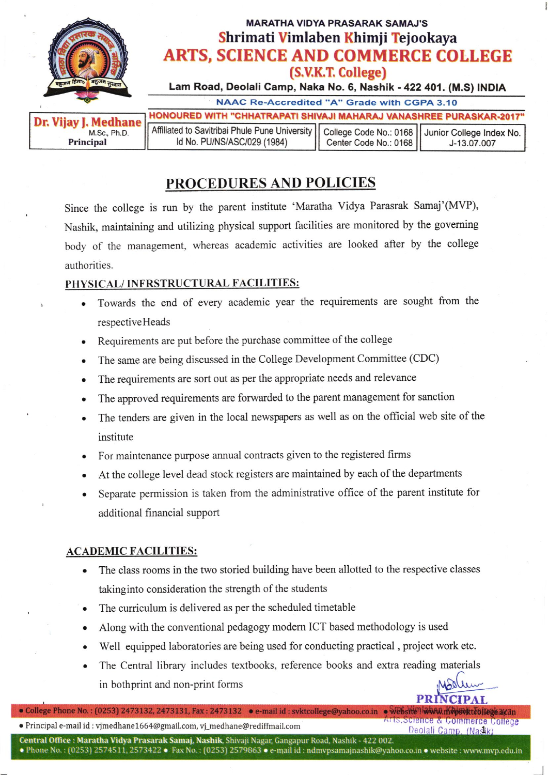

## PROCEDURES AND POLICIES

since the college is run by the parent institute 'Maratha vidya Parasrak Samaj'(MVP), Nashik, maintaining and utilizing physical support facilities are monitored by the governing body of the management, whereas academic activities are looked after by the college authorities.

## PHYSICAL/ INFRSTRUCTURAL FACILITIES:

- . Towards the end of every academic year the requirements are sought from the respectiveHeads
- . Requirements are put before the purchase committee of the college
- . The same are being discussed in the College Development Committee (CDC)
- . The requirements are sort out as per the appropriate needs and relevance
- The approved requirements are forwarded to the parent management for sanction
- . The tenders are given in the local newspapers as well as on the official web site of the institute
- . For maintenance purpose annual contracts given to the registered firms
- At the college level dead stock registers are maintained by each of the departments
- . Separate permission is taken from the administrative office of the parent institute for additional financial support

## **ACADEMIC FACILITIES:**

- The class rooms in the two storied building have been allotted to the respective classes takinginto consideration the strength of the students
- . The curriculum is delivered as per the scheduled timetable
- . Along with the conventional pedagogy modem ICT based methodology is used
- . Well equipped laboratories are being used for conducting practical , project work etc.
- . The Central library includes text books, reference books and extra reading materials in bothprint and non-print forms

PRIN

e Principal e-mail id : vjmedhane1664@gmail.com, vj\_medhane@rediffmail.com Affis,Science & Commerce College (<br>Deolali Camp, (Nastik) o College Phone No.: (0253) 2473132, 2473131, Fax: 2473132 . e-mail id: svktcollege@yahoo.co.in . Website WWW.myByktcollegearan

**Central Office : Maratha Vidya Prasarak Samaj, Nashik**, Shivaji Nagar, Gangapur Road, Nashik - 422 002.

 $\bullet$  Phone No.: (0253) 2574511, 2573422  $\bullet$  Fax No.: (0253) 2579863  $\bullet$  e-mail id : ndmvpsamajnashik@yahoo.co.in  $\bullet$  website : www.mvp.edu.in